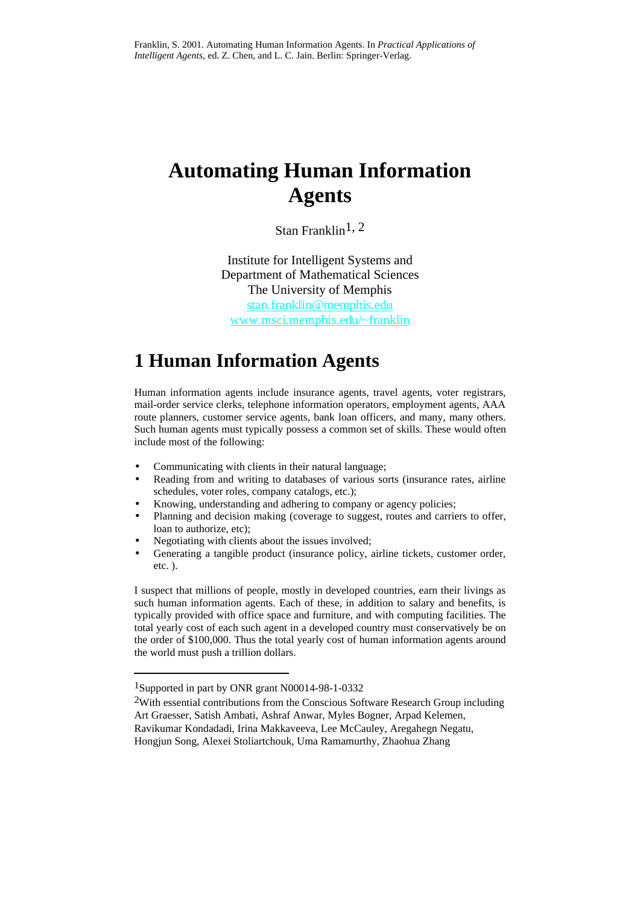# **Automating Human Information Agents**

Stan Franklin<sup>1, 2</sup>

Institute for Intelligent Systems and Department of Mathematical Sciences The University of Memphis stan.franklin@memphis.edu www.msci.memphis.edu/~franklin

# **1 Human Information Agents**

Human information agents include insurance agents, travel agents, voter registrars, mail-order service clerks, telephone information operators, employment agents, AAA route planners, customer service agents, bank loan officers, and many, many others. Such human agents must typically possess a common set of skills. These would often include most of the following:

- Communicating with clients in their natural language;
- Reading from and writing to databases of various sorts (insurance rates, airline schedules, voter roles, company catalogs, etc.);
- Knowing, understanding and adhering to company or agency policies;
- Planning and decision making (coverage to suggest, routes and carriers to offer, loan to authorize, etc);
- Negotiating with clients about the issues involved;
- Generating a tangible product (insurance policy, airline tickets, customer order, etc. ).

I suspect that millions of people, mostly in developed countries, earn their livings as such human information agents. Each of these, in addition to salary and benefits, is typically provided with office space and furniture, and with computing facilities. The total yearly cost of each such agent in a developed country must conservatively be on the order of \$100,000. Thus the total yearly cost of human information agents around the world must push a trillion dollars.

l

<sup>1</sup>Supported in part by ONR grant N00014-98-1-0332

<sup>2</sup>With essential contributions from the Conscious Software Research Group including Art Graesser, Satish Ambati, Ashraf Anwar, Myles Bogner, Arpad Kelemen, Ravikumar Kondadadi, Irina Makkaveeva, Lee McCauley, Aregahegn Negatu, Hongjun Song, Alexei Stoliartchouk, Uma Ramamurthy, Zhaohua Zhang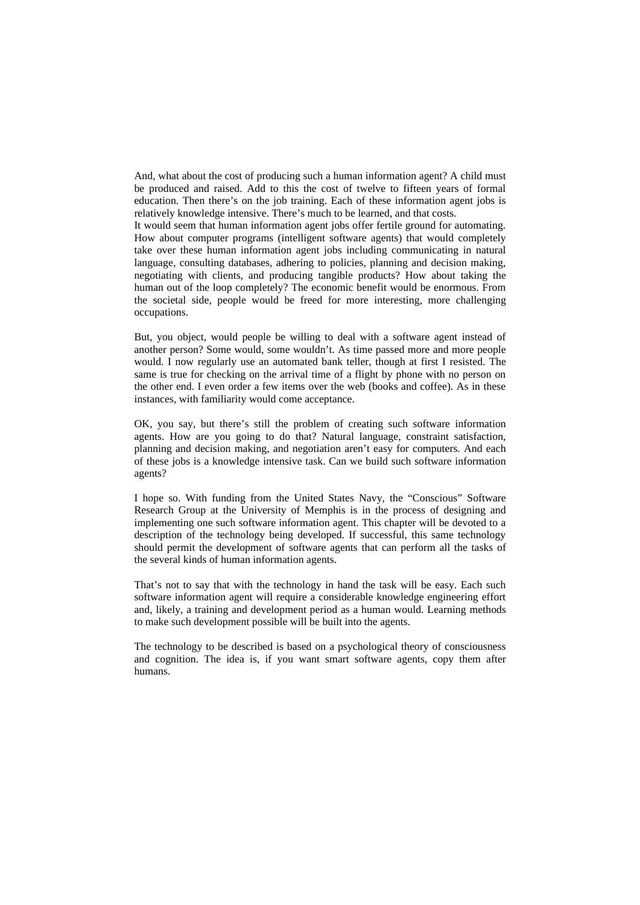And, what about the cost of producing such a human information agent? A child must be produced and raised. Add to this the cost of twelve to fifteen years of formal education. Then there's on the job training. Each of these information agent jobs is relatively knowledge intensive. There's much to be learned, and that costs.

It would seem that human information agent jobs offer fertile ground for automating. How about computer programs (intelligent software agents) that would completely take over these human information agent jobs including communicating in natural language, consulting databases, adhering to policies, planning and decision making, negotiating with clients, and producing tangible products? How about taking the human out of the loop completely? The economic benefit would be enormous. From the societal side, people would be freed for more interesting, more challenging occupations.

But, you object, would people be willing to deal with a software agent instead of another person? Some would, some wouldn't. As time passed more and more people would. I now regularly use an automated bank teller, though at first I resisted. The same is true for checking on the arrival time of a flight by phone with no person on the other end. I even order a few items over the web (books and coffee). As in these instances, with familiarity would come acceptance.

OK, you say, but there's still the problem of creating such software information agents. How are you going to do that? Natural language, constraint satisfaction, planning and decision making, and negotiation aren't easy for computers. And each of these jobs is a knowledge intensive task. Can we build such software information agents?

I hope so. With funding from the United States Navy, the "Conscious" Software Research Group at the University of Memphis is in the process of designing and implementing one such software information agent. This chapter will be devoted to a description of the technology being developed. If successful, this same technology should permit the development of software agents that can perform all the tasks of the several kinds of human information agents.

That's not to say that with the technology in hand the task will be easy. Each such software information agent will require a considerable knowledge engineering effort and, likely, a training and development period as a human would. Learning methods to make such development possible will be built into the agents.

The technology to be described is based on a psychological theory of consciousness and cognition. The idea is, if you want smart software agents, copy them after humans.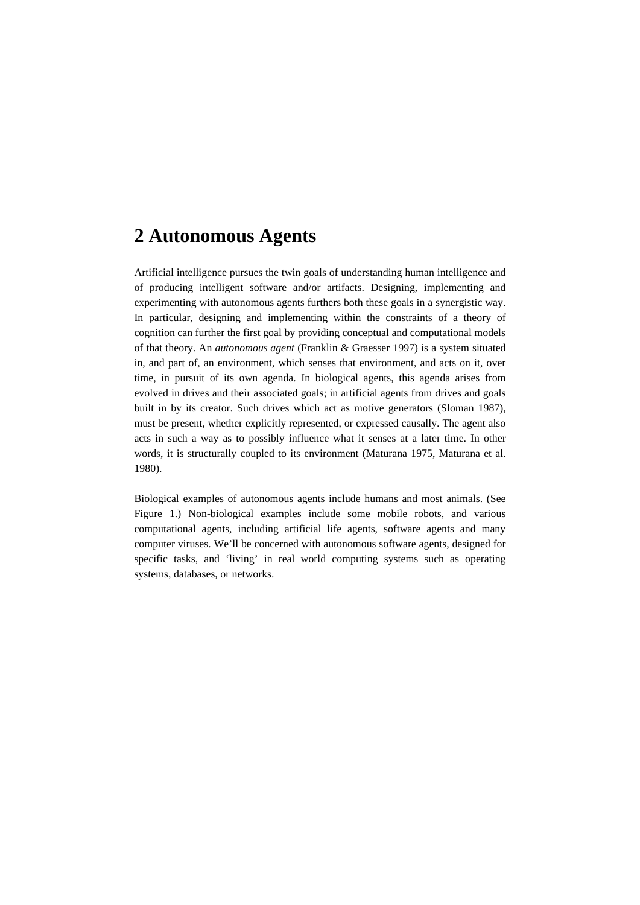# **2 Autonomous Agents**

Artificial intelligence pursues the twin goals of understanding human intelligence and of producing intelligent software and/or artifacts. Designing, implementing and experimenting with autonomous agents furthers both these goals in a synergistic way. In particular, designing and implementing within the constraints of a theory of cognition can further the first goal by providing conceptual and computational models of that theory. An *autonomous agent* (Franklin & Graesser 1997) is a system situated in, and part of, an environment, which senses that environment, and acts on it, over time, in pursuit of its own agenda. In biological agents, this agenda arises from evolved in drives and their associated goals; in artificial agents from drives and goals built in by its creator. Such drives which act as motive generators (Sloman 1987), must be present, whether explicitly represented, or expressed causally. The agent also acts in such a way as to possibly influence what it senses at a later time. In other words, it is structurally coupled to its environment (Maturana 1975, Maturana et al. 1980).

Biological examples of autonomous agents include humans and most animals. (See Figure 1.) Non-biological examples include some mobile robots, and various computational agents, including artificial life agents, software agents and many computer viruses. We'll be concerned with autonomous software agents, designed for specific tasks, and 'living' in real world computing systems such as operating systems, databases, or networks.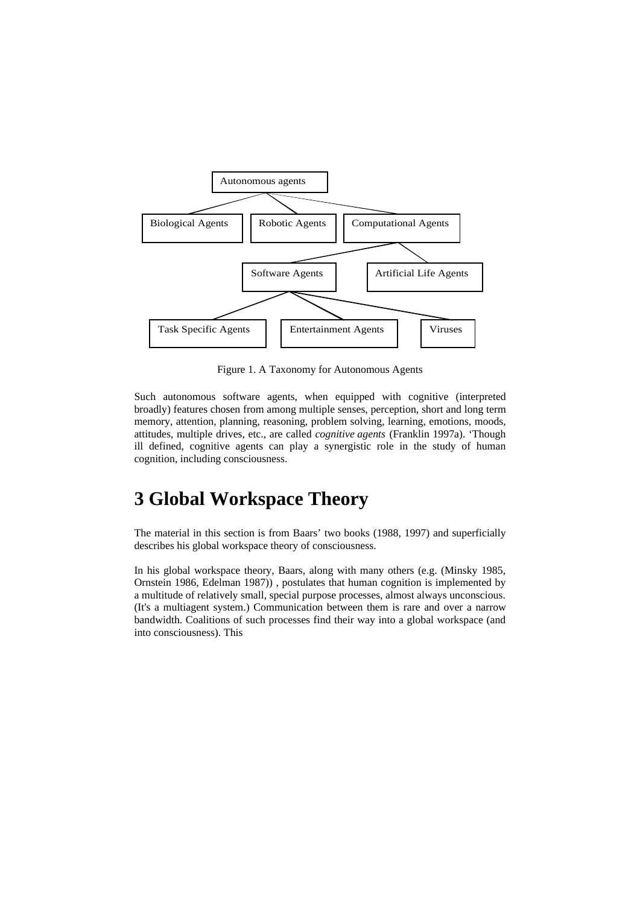

Figure 1. A Taxonomy for Autonomous Agents

Such autonomous software agents, when equipped with cognitive (interpreted broadly) features chosen from among multiple senses, perception, short and long term memory, attention, planning, reasoning, problem solving, learning, emotions, moods, attitudes, multiple drives, etc., are called *cognitive agents* (Franklin 1997a). 'Though ill defined, cognitive agents can play a synergistic role in the study of human cognition, including consciousness.

# **3 Global Workspace Theory**

The material in this section is from Baars' two books (1988, 1997) and superficially describes his global workspace theory of consciousness.

In his global workspace theory, Baars, along with many others (e.g. (Minsky 1985, Ornstein 1986, Edelman 1987)) , postulates that human cognition is implemented by a multitude of relatively small, special purpose processes, almost always unconscious. (It's a multiagent system.) Communication between them is rare and over a narrow bandwidth. Coalitions of such processes find their way into a global workspace (and into consciousness). This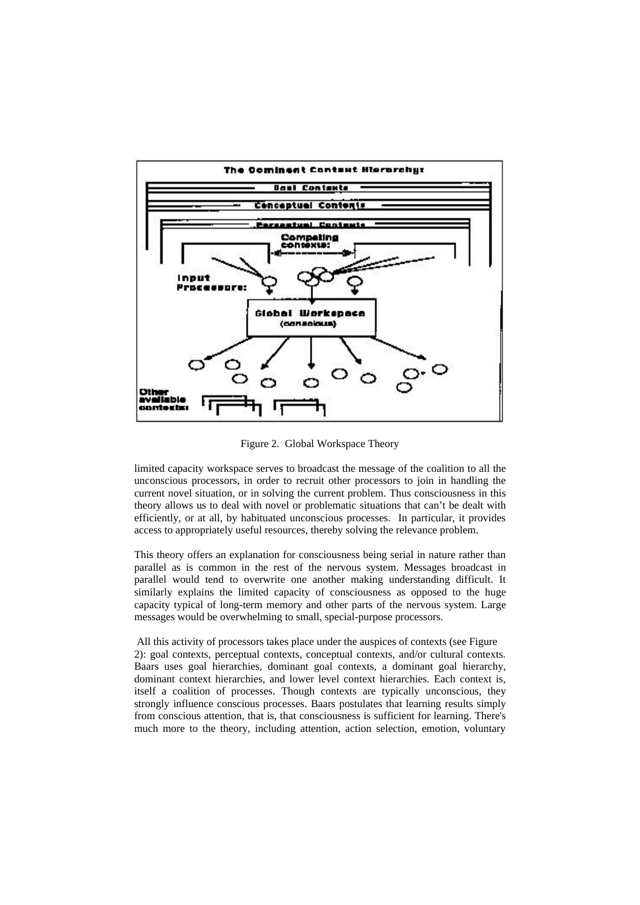

Figure 2. Global Workspace Theory

limited capacity workspace serves to broadcast the message of the coalition to all the unconscious processors, in order to recruit other processors to join in handling the current novel situation, or in solving the current problem. Thus consciousness in this theory allows us to deal with novel or problematic situations that can't be dealt with efficiently, or at all, by habituated unconscious processes. In particular, it provides access to appropriately useful resources, thereby solving the relevance problem.

This theory offers an explanation for consciousness being serial in nature rather than parallel as is common in the rest of the nervous system. Messages broadcast in parallel would tend to overwrite one another making understanding difficult. It similarly explains the limited capacity of consciousness as opposed to the huge capacity typical of long-term memory and other parts of the nervous system. Large messages would be overwhelming to small, special-purpose processors.

 All this activity of processors takes place under the auspices of contexts (see Figure 2): goal contexts, perceptual contexts, conceptual contexts, and/or cultural contexts. Baars uses goal hierarchies, dominant goal contexts, a dominant goal hierarchy, dominant context hierarchies, and lower level context hierarchies. Each context is, itself a coalition of processes. Though contexts are typically unconscious, they strongly influence conscious processes. Baars postulates that learning results simply from conscious attention, that is, that consciousness is sufficient for learning. There's much more to the theory, including attention, action selection, emotion, voluntary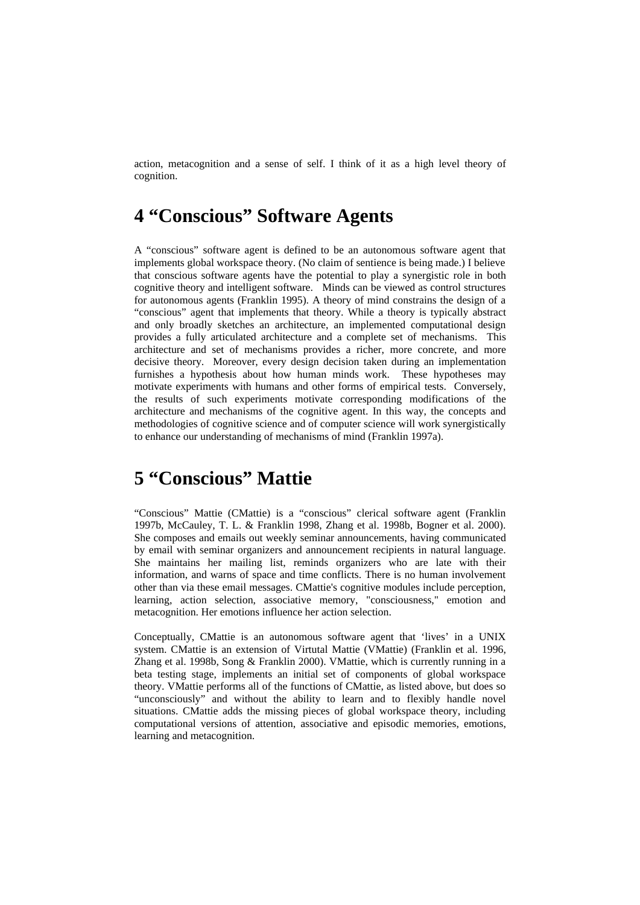action, metacognition and a sense of self. I think of it as a high level theory of cognition.

# **4 "Conscious" Software Agents**

A "conscious" software agent is defined to be an autonomous software agent that implements global workspace theory. (No claim of sentience is being made.) I believe that conscious software agents have the potential to play a synergistic role in both cognitive theory and intelligent software. Minds can be viewed as control structures for autonomous agents (Franklin 1995). A theory of mind constrains the design of a "conscious" agent that implements that theory. While a theory is typically abstract and only broadly sketches an architecture, an implemented computational design provides a fully articulated architecture and a complete set of mechanisms. This architecture and set of mechanisms provides a richer, more concrete, and more decisive theory. Moreover, every design decision taken during an implementation furnishes a hypothesis about how human minds work. These hypotheses may motivate experiments with humans and other forms of empirical tests. Conversely, the results of such experiments motivate corresponding modifications of the architecture and mechanisms of the cognitive agent. In this way, the concepts and methodologies of cognitive science and of computer science will work synergistically to enhance our understanding of mechanisms of mind (Franklin 1997a).

# **5 "Conscious" Mattie**

"Conscious" Mattie (CMattie) is a "conscious" clerical software agent (Franklin 1997b, McCauley, T. L. & Franklin 1998, Zhang et al. 1998b, Bogner et al. 2000). She composes and emails out weekly seminar announcements, having communicated by email with seminar organizers and announcement recipients in natural language. She maintains her mailing list, reminds organizers who are late with their information, and warns of space and time conflicts. There is no human involvement other than via these email messages. CMattie's cognitive modules include perception, learning, action selection, associative memory, "consciousness," emotion and metacognition. Her emotions influence her action selection.

Conceptually, CMattie is an autonomous software agent that 'lives' in a UNIX system. CMattie is an extension of Virtutal Mattie (VMattie) (Franklin et al. 1996, Zhang et al. 1998b, Song & Franklin 2000). VMattie, which is currently running in a beta testing stage, implements an initial set of components of global workspace theory. VMattie performs all of the functions of CMattie, as listed above, but does so "unconsciously" and without the ability to learn and to flexibly handle novel situations. CMattie adds the missing pieces of global workspace theory, including computational versions of attention, associative and episodic memories, emotions, learning and metacognition.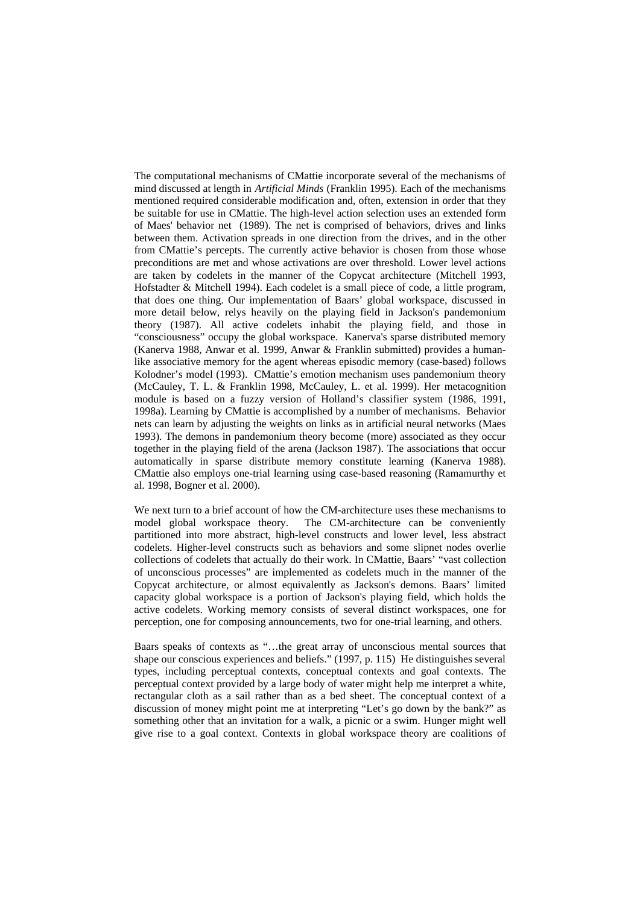The computational mechanisms of CMattie incorporate several of the mechanisms of mind discussed at length in *Artificial Minds* (Franklin 1995). Each of the mechanisms mentioned required considerable modification and, often, extension in order that they be suitable for use in CMattie. The high-level action selection uses an extended form of Maes' behavior net (1989). The net is comprised of behaviors, drives and links between them. Activation spreads in one direction from the drives, and in the other from CMattie's percepts. The currently active behavior is chosen from those whose preconditions are met and whose activations are over threshold. Lower level actions are taken by codelets in the manner of the Copycat architecture (Mitchell 1993, Hofstadter & Mitchell 1994). Each codelet is a small piece of code, a little program, that does one thing. Our implementation of Baars' global workspace, discussed in more detail below, relys heavily on the playing field in Jackson's pandemonium theory (1987). All active codelets inhabit the playing field, and those in "consciousness" occupy the global workspace. Kanerva's sparse distributed memory (Kanerva 1988, Anwar et al. 1999, Anwar & Franklin submitted) provides a humanlike associative memory for the agent whereas episodic memory (case-based) follows Kolodner's model (1993). CMattie's emotion mechanism uses pandemonium theory (McCauley, T. L. & Franklin 1998, McCauley, L. et al. 1999). Her metacognition module is based on a fuzzy version of Holland's classifier system (1986, 1991, 1998a). Learning by CMattie is accomplished by a number of mechanisms. Behavior nets can learn by adjusting the weights on links as in artificial neural networks (Maes 1993). The demons in pandemonium theory become (more) associated as they occur together in the playing field of the arena (Jackson 1987). The associations that occur automatically in sparse distribute memory constitute learning (Kanerva 1988). CMattie also employs one-trial learning using case-based reasoning (Ramamurthy et al. 1998, Bogner et al. 2000).

We next turn to a brief account of how the CM-architecture uses these mechanisms to model global workspace theory. The CM-architecture can be conveniently partitioned into more abstract, high-level constructs and lower level, less abstract codelets. Higher-level constructs such as behaviors and some slipnet nodes overlie collections of codelets that actually do their work. In CMattie, Baars' "vast collection of unconscious processes" are implemented as codelets much in the manner of the Copycat architecture, or almost equivalently as Jackson's demons. Baars' limited capacity global workspace is a portion of Jackson's playing field, which holds the active codelets. Working memory consists of several distinct workspaces, one for perception, one for composing announcements, two for one-trial learning, and others.

Baars speaks of contexts as "…the great array of unconscious mental sources that shape our conscious experiences and beliefs." (1997, p. 115) He distinguishes several types, including perceptual contexts, conceptual contexts and goal contexts. The perceptual context provided by a large body of water might help me interpret a white, rectangular cloth as a sail rather than as a bed sheet. The conceptual context of a discussion of money might point me at interpreting "Let's go down by the bank?" as something other that an invitation for a walk, a picnic or a swim. Hunger might well give rise to a goal context. Contexts in global workspace theory are coalitions of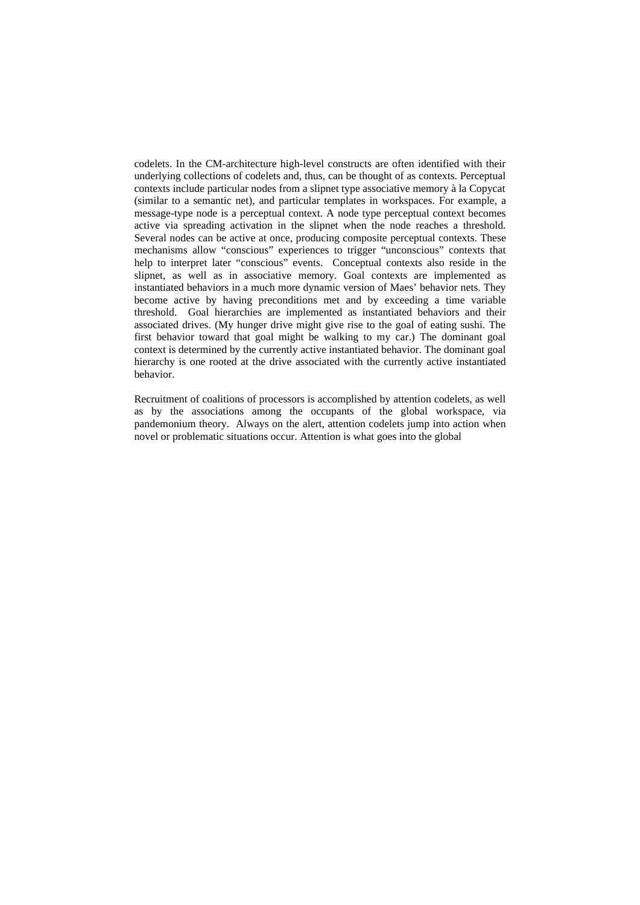codelets. In the CM-architecture high-level constructs are often identified with their underlying collections of codelets and, thus, can be thought of as contexts. Perceptual contexts include particular nodes from a slipnet type associative memory à la Copycat (similar to a semantic net), and particular templates in workspaces. For example, a message-type node is a perceptual context. A node type perceptual context becomes active via spreading activation in the slipnet when the node reaches a threshold. Several nodes can be active at once, producing composite perceptual contexts. These mechanisms allow "conscious" experiences to trigger "unconscious" contexts that help to interpret later "conscious" events. Conceptual contexts also reside in the slipnet, as well as in associative memory. Goal contexts are implemented as instantiated behaviors in a much more dynamic version of Maes' behavior nets. They become active by having preconditions met and by exceeding a time variable threshold. Goal hierarchies are implemented as instantiated behaviors and their associated drives. (My hunger drive might give rise to the goal of eating sushi. The first behavior toward that goal might be walking to my car.) The dominant goal context is determined by the currently active instantiated behavior. The dominant goal hierarchy is one rooted at the drive associated with the currently active instantiated behavior.

Recruitment of coalitions of processors is accomplished by attention codelets, as well as by the associations among the occupants of the global workspace, via pandemonium theory. Always on the alert, attention codelets jump into action when novel or problematic situations occur. Attention is what goes into the global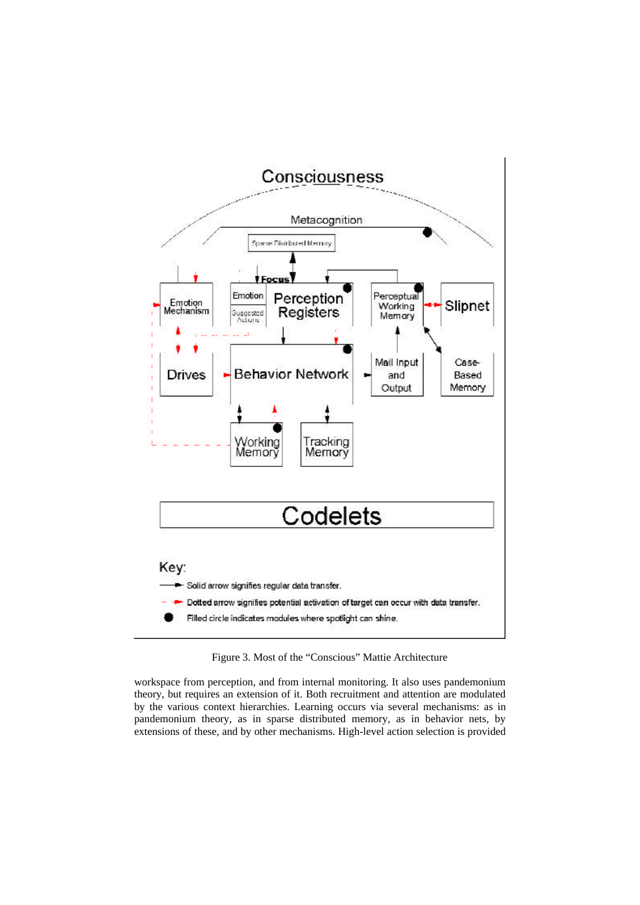

Figure 3. Most of the "Conscious" Mattie Architecture

workspace from perception, and from internal monitoring. It also uses pandemonium theory, but requires an extension of it. Both recruitment and attention are modulated by the various context hierarchies. Learning occurs via several mechanisms: as in pandemonium theory, as in sparse distributed memory, as in behavior nets, by extensions of these, and by other mechanisms. High-level action selection is provided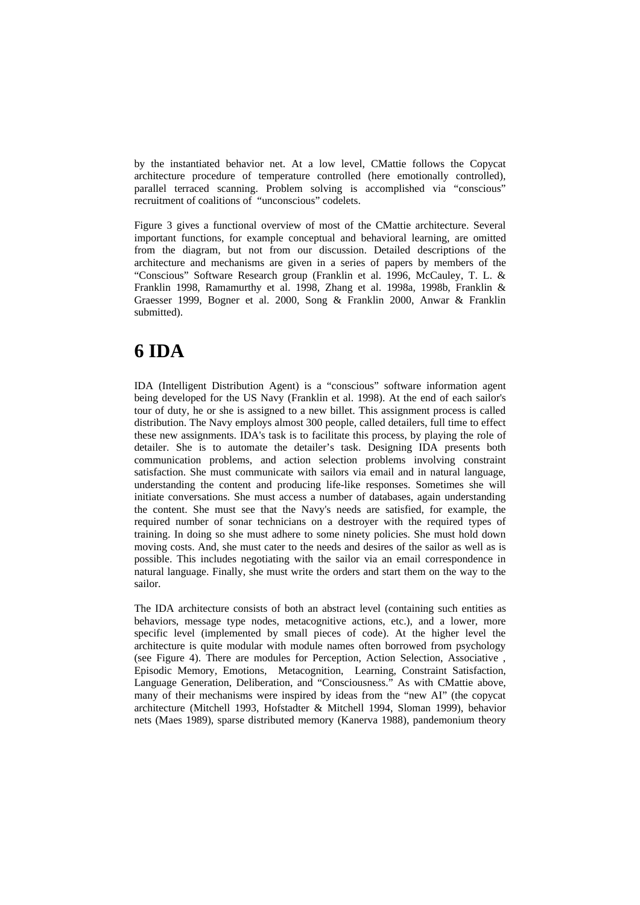by the instantiated behavior net. At a low level, CMattie follows the Copycat architecture procedure of temperature controlled (here emotionally controlled), parallel terraced scanning. Problem solving is accomplished via "conscious" recruitment of coalitions of "unconscious" codelets.

Figure 3 gives a functional overview of most of the CMattie architecture. Several important functions, for example conceptual and behavioral learning, are omitted from the diagram, but not from our discussion. Detailed descriptions of the architecture and mechanisms are given in a series of papers by members of the "Conscious" Software Research group (Franklin et al. 1996, McCauley, T. L. & Franklin 1998, Ramamurthy et al. 1998, Zhang et al. 1998a, 1998b, Franklin & Graesser 1999, Bogner et al. 2000, Song & Franklin 2000, Anwar & Franklin submitted).

# **6 IDA**

IDA (Intelligent Distribution Agent) is a "conscious" software information agent being developed for the US Navy (Franklin et al. 1998). At the end of each sailor's tour of duty, he or she is assigned to a new billet. This assignment process is called distribution. The Navy employs almost 300 people, called detailers, full time to effect these new assignments. IDA's task is to facilitate this process, by playing the role of detailer. She is to automate the detailer's task. Designing IDA presents both communication problems, and action selection problems involving constraint satisfaction. She must communicate with sailors via email and in natural language, understanding the content and producing life-like responses. Sometimes she will initiate conversations. She must access a number of databases, again understanding the content. She must see that the Navy's needs are satisfied, for example, the required number of sonar technicians on a destroyer with the required types of training. In doing so she must adhere to some ninety policies. She must hold down moving costs. And, she must cater to the needs and desires of the sailor as well as is possible. This includes negotiating with the sailor via an email correspondence in natural language. Finally, she must write the orders and start them on the way to the sailor.

The IDA architecture consists of both an abstract level (containing such entities as behaviors, message type nodes, metacognitive actions, etc.), and a lower, more specific level (implemented by small pieces of code). At the higher level the architecture is quite modular with module names often borrowed from psychology (see Figure 4). There are modules for Perception, Action Selection, Associative , Episodic Memory, Emotions, Metacognition, Learning, Constraint Satisfaction, Language Generation, Deliberation, and "Consciousness." As with CMattie above, many of their mechanisms were inspired by ideas from the "new AI" (the copycat architecture (Mitchell 1993, Hofstadter & Mitchell 1994, Sloman 1999), behavior nets (Maes 1989), sparse distributed memory (Kanerva 1988), pandemonium theory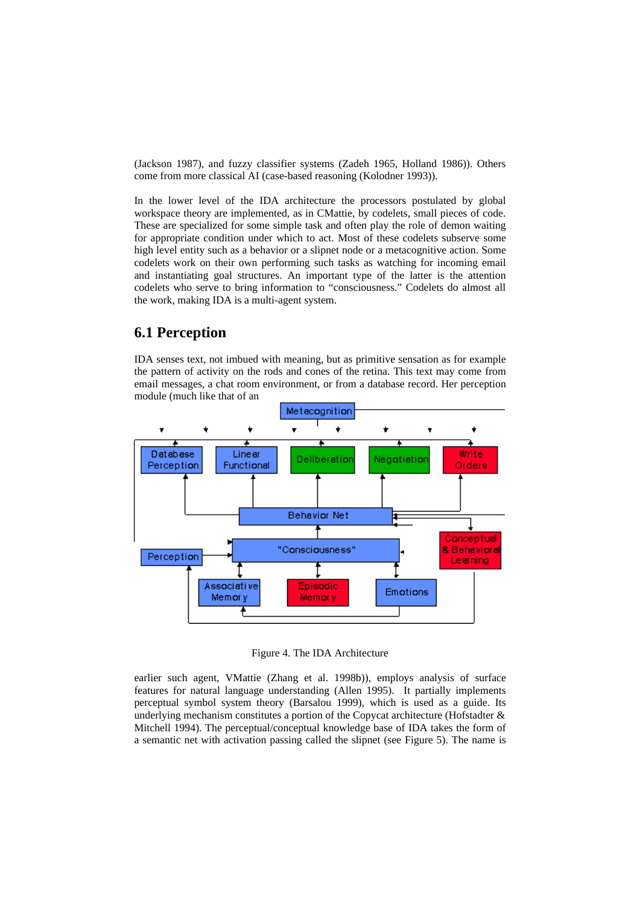(Jackson 1987), and fuzzy classifier systems (Zadeh 1965, Holland 1986)). Others come from more classical AI (case-based reasoning (Kolodner 1993)).

In the lower level of the IDA architecture the processors postulated by global workspace theory are implemented, as in CMattie, by codelets, small pieces of code. These are specialized for some simple task and often play the role of demon waiting for appropriate condition under which to act. Most of these codelets subserve some high level entity such as a behavior or a slipnet node or a metacognitive action. Some codelets work on their own performing such tasks as watching for incoming email and instantiating goal structures. An important type of the latter is the attention codelets who serve to bring information to "consciousness." Codelets do almost all the work, making IDA is a multi-agent system.

### **6.1 Perception**

IDA senses text, not imbued with meaning, but as primitive sensation as for example the pattern of activity on the rods and cones of the retina. This text may come from email messages, a chat room environment, or from a database record. Her perception module (much like that of an



Figure 4. The IDA Architecture

earlier such agent, VMattie (Zhang et al. 1998b)), employs analysis of surface features for natural language understanding (Allen 1995). It partially implements perceptual symbol system theory (Barsalou 1999), which is used as a guide. Its underlying mechanism constitutes a portion of the Copycat architecture (Hofstadter & Mitchell 1994). The perceptual/conceptual knowledge base of IDA takes the form of a semantic net with activation passing called the slipnet (see Figure 5). The name is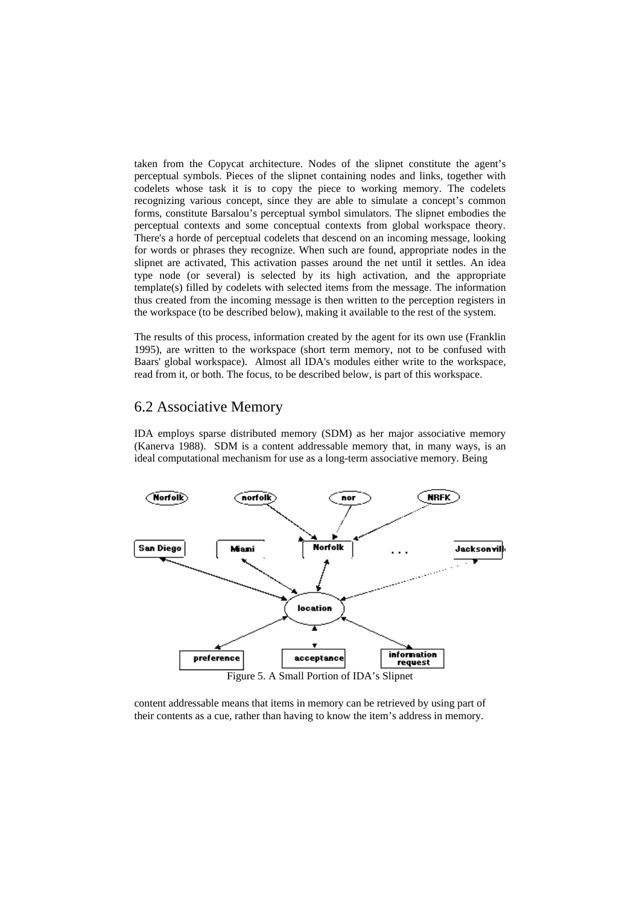taken from the Copycat architecture. Nodes of the slipnet constitute the agent's perceptual symbols. Pieces of the slipnet containing nodes and links, together with codelets whose task it is to copy the piece to working memory. The codelets recognizing various concept, since they are able to simulate a concept's common forms, constitute Barsalou's perceptual symbol simulators. The slipnet embodies the perceptual contexts and some conceptual contexts from global workspace theory. There's a horde of perceptual codelets that descend on an incoming message, looking for words or phrases they recognize. When such are found, appropriate nodes in the slipnet are activated, This activation passes around the net until it settles. An idea type node (or several) is selected by its high activation, and the appropriate template(s) filled by codelets with selected items from the message. The information thus created from the incoming message is then written to the perception registers in the workspace (to be described below), making it available to the rest of the system.

The results of this process, information created by the agent for its own use (Franklin 1995), are written to the workspace (short term memory, not to be confused with Baars' global workspace). Almost all IDA's modules either write to the workspace, read from it, or both. The focus, to be described below, is part of this workspace.

### 6.2 Associative Memory

IDA employs sparse distributed memory (SDM) as her major associative memory (Kanerva 1988). SDM is a content addressable memory that, in many ways, is an ideal computational mechanism for use as a long-term associative memory. Being



content addressable means that items in memory can be retrieved by using part of their contents as a cue, rather than having to know the item's address in memory.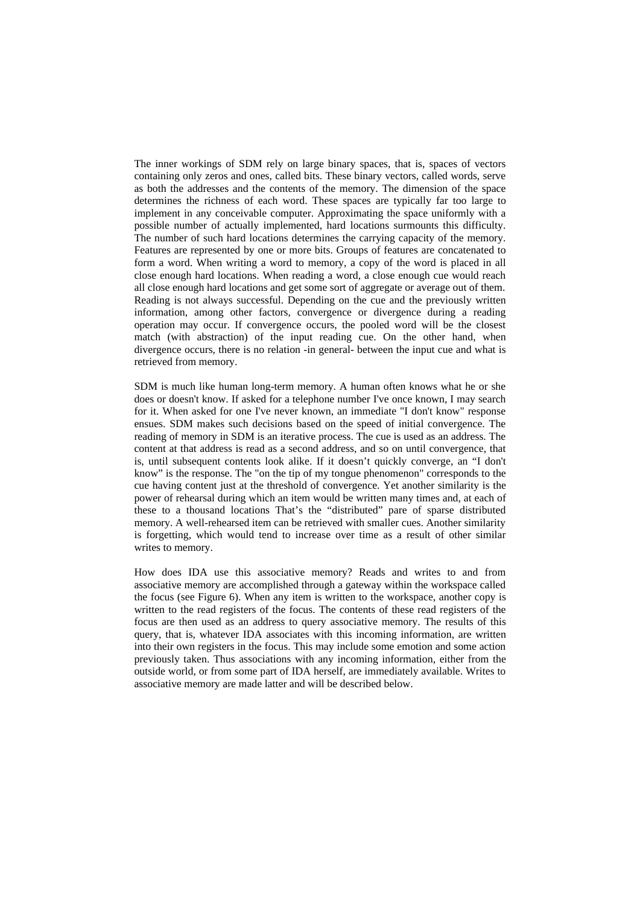The inner workings of SDM rely on large binary spaces, that is, spaces of vectors containing only zeros and ones, called bits. These binary vectors, called words, serve as both the addresses and the contents of the memory. The dimension of the space determines the richness of each word. These spaces are typically far too large to implement in any conceivable computer. Approximating the space uniformly with a possible number of actually implemented, hard locations surmounts this difficulty. The number of such hard locations determines the carrying capacity of the memory. Features are represented by one or more bits. Groups of features are concatenated to form a word. When writing a word to memory, a copy of the word is placed in all close enough hard locations. When reading a word, a close enough cue would reach all close enough hard locations and get some sort of aggregate or average out of them. Reading is not always successful. Depending on the cue and the previously written information, among other factors, convergence or divergence during a reading operation may occur. If convergence occurs, the pooled word will be the closest match (with abstraction) of the input reading cue. On the other hand, when divergence occurs, there is no relation -in general- between the input cue and what is retrieved from memory.

SDM is much like human long-term memory. A human often knows what he or she does or doesn't know. If asked for a telephone number I've once known, I may search for it. When asked for one I've never known, an immediate "I don't know" response ensues. SDM makes such decisions based on the speed of initial convergence. The reading of memory in SDM is an iterative process. The cue is used as an address. The content at that address is read as a second address, and so on until convergence, that is, until subsequent contents look alike. If it doesn't quickly converge, an "I don't know" is the response. The "on the tip of my tongue phenomenon" corresponds to the cue having content just at the threshold of convergence. Yet another similarity is the power of rehearsal during which an item would be written many times and, at each of these to a thousand locations That's the "distributed" pare of sparse distributed memory. A well-rehearsed item can be retrieved with smaller cues. Another similarity is forgetting, which would tend to increase over time as a result of other similar writes to memory.

How does IDA use this associative memory? Reads and writes to and from associative memory are accomplished through a gateway within the workspace called the focus (see Figure 6). When any item is written to the workspace, another copy is written to the read registers of the focus. The contents of these read registers of the focus are then used as an address to query associative memory. The results of this query, that is, whatever IDA associates with this incoming information, are written into their own registers in the focus. This may include some emotion and some action previously taken. Thus associations with any incoming information, either from the outside world, or from some part of IDA herself, are immediately available. Writes to associative memory are made latter and will be described below.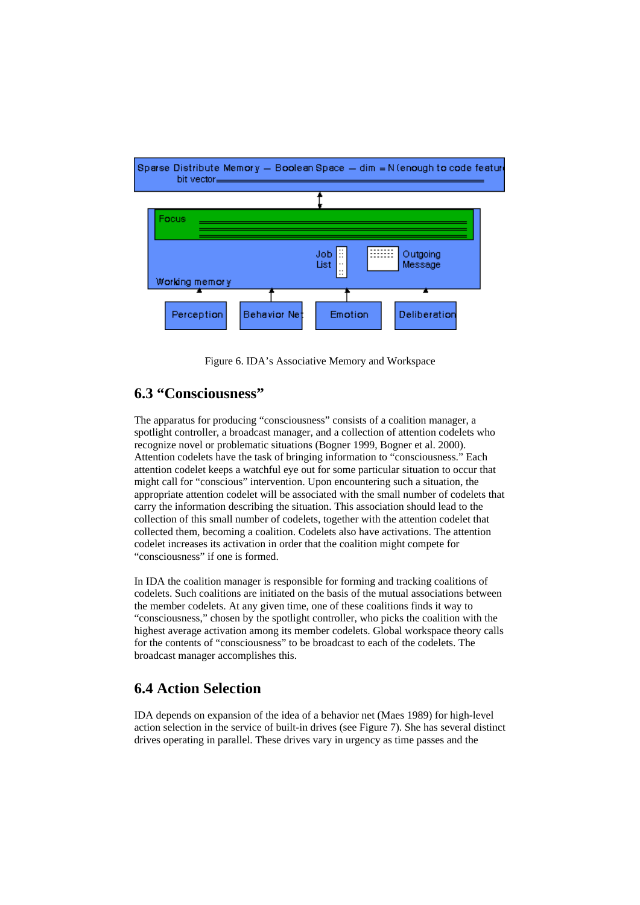

Figure 6. IDA's Associative Memory and Workspace

# **6.3 "Consciousness"**

The apparatus for producing "consciousness" consists of a coalition manager, a spotlight controller, a broadcast manager, and a collection of attention codelets who recognize novel or problematic situations (Bogner 1999, Bogner et al. 2000). Attention codelets have the task of bringing information to "consciousness." Each attention codelet keeps a watchful eye out for some particular situation to occur that might call for "conscious" intervention. Upon encountering such a situation, the appropriate attention codelet will be associated with the small number of codelets that carry the information describing the situation. This association should lead to the collection of this small number of codelets, together with the attention codelet that collected them, becoming a coalition. Codelets also have activations. The attention codelet increases its activation in order that the coalition might compete for "consciousness" if one is formed.

In IDA the coalition manager is responsible for forming and tracking coalitions of codelets. Such coalitions are initiated on the basis of the mutual associations between the member codelets. At any given time, one of these coalitions finds it way to "consciousness," chosen by the spotlight controller, who picks the coalition with the highest average activation among its member codelets. Global workspace theory calls for the contents of "consciousness" to be broadcast to each of the codelets. The broadcast manager accomplishes this.

### **6.4 Action Selection**

IDA depends on expansion of the idea of a behavior net (Maes 1989) for high-level action selection in the service of built-in drives (see Figure 7). She has several distinct drives operating in parallel. These drives vary in urgency as time passes and the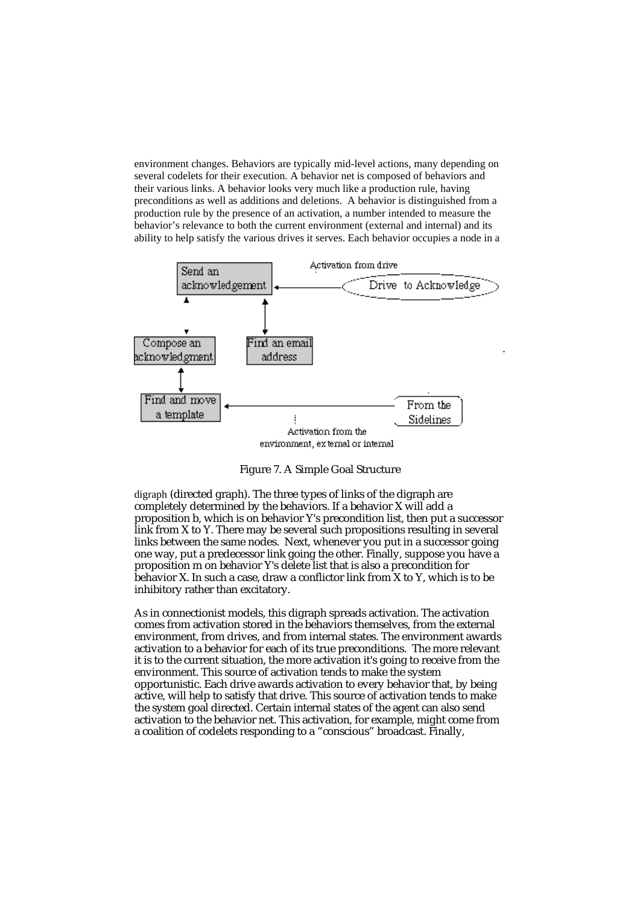environment changes. Behaviors are typically mid-level actions, many depending on several codelets for their execution. A behavior net is composed of behaviors and their various links. A behavior looks very much like a production rule, having preconditions as well as additions and deletions. A behavior is distinguished from a production rule by the presence of an activation, a number intended to measure the behavior's relevance to both the current environment (external and internal) and its ability to help satisfy the various drives it serves. Each behavior occupies a node in a



Figure 7. A Simple Goal Structure

digraph (directed graph). The three types of links of the digraph are completely determined by the behaviors. If a behavior X will add a proposition b, which is on behavior Y's precondition list, then put a successor link from X to Y. There may be several such propositions resulting in several links between the same nodes. Next, whenever you put in a successor going one way, put a predecessor link going the other. Finally, suppose you have a proposition m on behavior Y's delete list that is also a precondition for behavior X. In such a case, draw a conflictor link from X to Y, which is to be inhibitory rather than excitatory.

As in connectionist models, this digraph spreads activation. The activation comes from activation stored in the behaviors themselves, from the external environment, from drives, and from internal states. The environment awards activation to a behavior for each of its true preconditions. The more relevant it is to the current situation, the more activation it's going to receive from the environment. This source of activation tends to make the system opportunistic. Each drive awards activation to every behavior that, by being active, will help to satisfy that drive. This source of activation tends to make the system goal directed. Certain internal states of the agent can also send activation to the behavior net. This activation, for example, might come from a coalition of codelets responding to a "conscious" broadcast. Finally,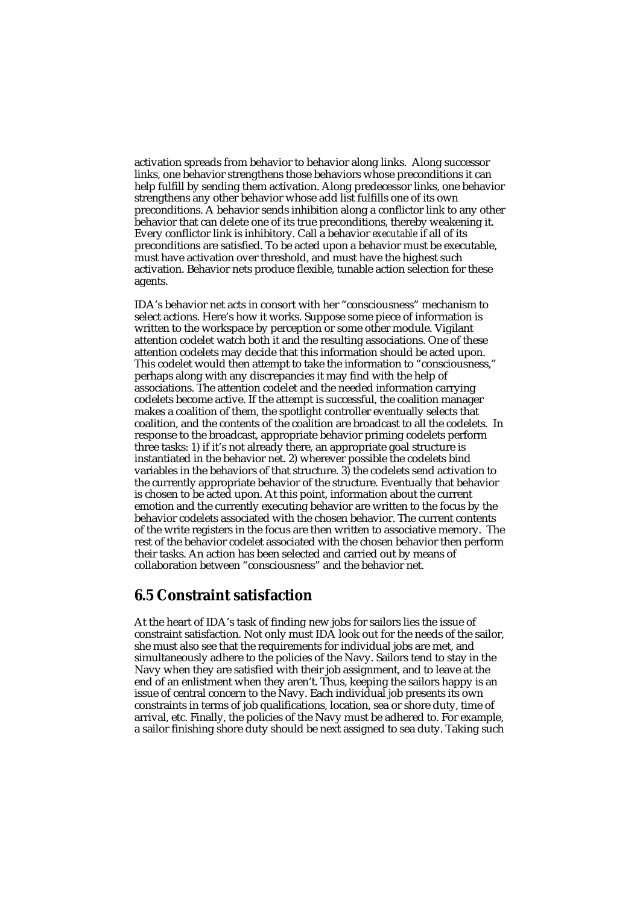activation spreads from behavior to behavior along links. Along successor links, one behavior strengthens those behaviors whose preconditions it can help fulfill by sending them activation. Along predecessor links, one behavior strengthens any other behavior whose add list fulfills one of its own preconditions. A behavior sends inhibition along a conflictor link to any other behavior that can delete one of its true preconditions, thereby weakening it. Every conflictor link is inhibitory. Call a behavior *executable* if all of its preconditions are satisfied. To be acted upon a behavior must be executable, must have activation over threshold, and must have the highest such activation. Behavior nets produce flexible, tunable action selection for these agents.

IDA's behavior net acts in consort with her "consciousness" mechanism to select actions. Here's how it works. Suppose some piece of information is written to the workspace by perception or some other module. Vigilant attention codelet watch both it and the resulting associations. One of these attention codelets may decide that this information should be acted upon. This codelet would then attempt to take the information to "consciousness," perhaps along with any discrepancies it may find with the help of associations. The attention codelet and the needed information carrying codelets become active. If the attempt is successful, the coalition manager makes a coalition of them, the spotlight controller eventually selects that coalition, and the contents of the coalition are broadcast to all the codelets. In response to the broadcast, appropriate behavior priming codelets perform three tasks: 1) if it's not already there, an appropriate goal structure is instantiated in the behavior net. 2) wherever possible the codelets bind variables in the behaviors of that structure. 3) the codelets send activation to the currently appropriate behavior of the structure. Eventually that behavior is chosen to be acted upon. At this point, information about the current emotion and the currently executing behavior are written to the focus by the behavior codelets associated with the chosen behavior. The current contents of the write registers in the focus are then written to associative memory. The rest of the behavior codelet associated with the chosen behavior then perform their tasks. An action has been selected and carried out by means of collaboration between "consciousness" and the behavior net.

### **6.5 Constraint satisfaction**

At the heart of IDA's task of finding new jobs for sailors lies the issue of constraint satisfaction. Not only must IDA look out for the needs of the sailor, she must also see that the requirements for individual jobs are met, and simultaneously adhere to the policies of the Navy. Sailors tend to stay in the Navy when they are satisfied with their job assignment, and to leave at the end of an enlistment when they aren't. Thus, keeping the sailors happy is an issue of central concern to the Navy. Each individual job presents its own constraints in terms of job qualifications, location, sea or shore duty, time of arrival, etc. Finally, the policies of the Navy must be adhered to. For example, a sailor finishing shore duty should be next assigned to sea duty. Taking such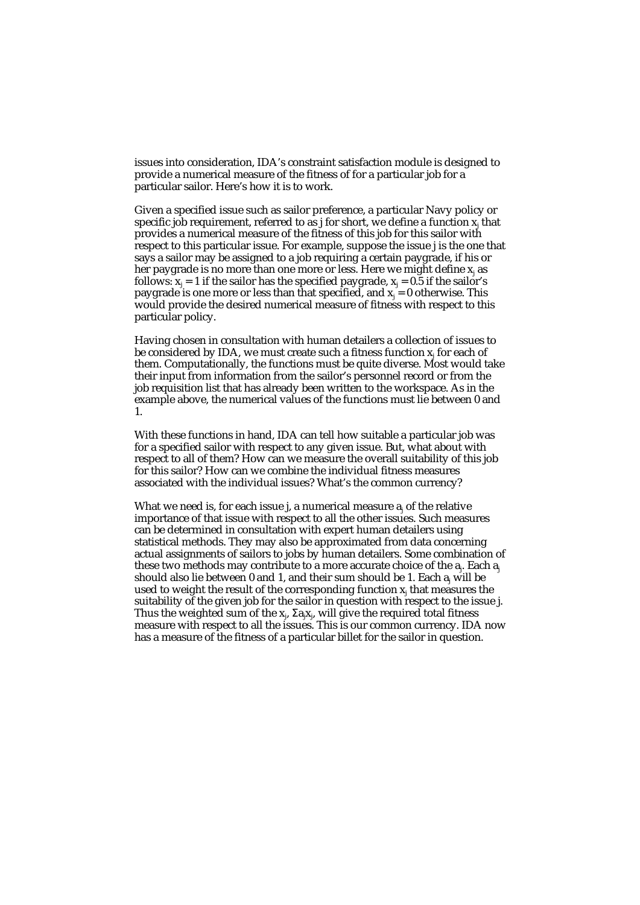issues into consideration, IDA's constraint satisfaction module is designed to provide a numerical measure of the fitness of for a particular job for a particular sailor. Here's how it is to work.

Given a specified issue such as sailor preference, a particular Navy policy or specific job requirement, referred to as j for short, we define a function  $\mathbf{x}_\mathrm{j}$  that provides a numerical measure of the fitness of this job for this sailor with respect to this particular issue. For example, suppose the issue j is the one that says a sailor may be assigned to a job requiring a certain paygrade, if his or her paygrade is no more than one more or less. Here we might define  $\mathbf{x}_\mathrm{j}$  as follows:  $\boldsymbol{\mathrm{x}}_\text{j}$  = 1 if the sailor has the specified paygrade,  $\boldsymbol{\mathrm{x}}_\text{j}$  = 0.5 if the sailor's paygrade is one more or less than that specified, and  $\boldsymbol{\mathrm{x_j}}$  = 0 otherwise. This would provide the desired numerical measure of fitness with respect to this particular policy.

Having chosen in consultation with human detailers a collection of issues to be considered by IDA, we must create such a fitness function **x**<sub>j</sub> for each of them. Computationally, the functions must be quite diverse. Most would take their input from information from the sailor's personnel record or from the job requisition list that has already been written to the workspace. As in the example above, the numerical values of the functions must lie between 0 and 1.

With these functions in hand, IDA can tell how suitable a particular job was for a specified sailor with respect to any given issue. But, what about with respect to all of them? How can we measure the overall suitability of this job for this sailor? How can we combine the individual fitness measures associated with the individual issues? What's the common currency?

What we need is, for each issue j, a numerical measure a<sub>j</sub> of the relative importance of that issue with respect to all the other issues. Such measures can be determined in consultation with expert human detailers using statistical methods. They may also be approximated from data concerning actual assignments of sailors to jobs by human detailers. Some combination of these two methods may contribute to a more accurate choice of the a<sub>j</sub>. Each a<sub>j</sub> should also lie between 0 and 1, and their sum should be 1. Each a<sub>j</sub> will be used to weight the result of the corresponding function **x**<sub>j</sub> that measures the suitability of the given job for the sailor in question with respect to the issue j. Thus the weighted sum of the  $\mathrm{x}_{\mathrm{j}}$ ,  $\mathrm{a}_{\mathrm{j}}\mathrm{x}_{\mathrm{j}}$ , will give the required total fitness measure with respect to all the issues. This is our common currency. IDA now has a measure of the fitness of a particular billet for the sailor in question.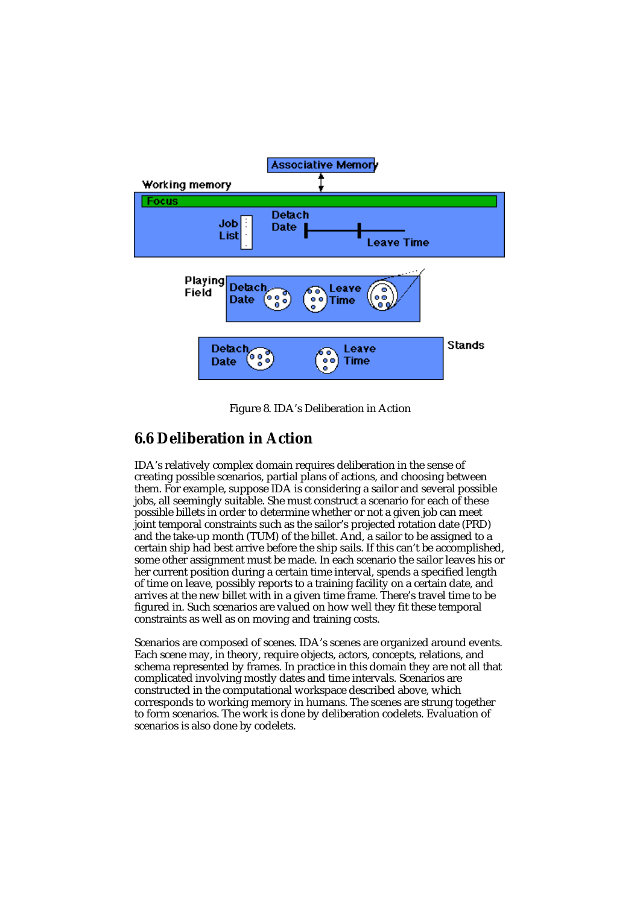



# **6.6 Deliberation in Action**

IDA's relatively complex domain requires deliberation in the sense of creating possible scenarios, partial plans of actions, and choosing between them. For example, suppose IDA is considering a sailor and several possible jobs, all seemingly suitable. She must construct a scenario for each of these possible billets in order to determine whether or not a given job can meet joint temporal constraints such as the sailor's projected rotation date (PRD) and the take-up month (TUM) of the billet. And, a sailor to be assigned to a certain ship had best arrive before the ship sails. If this can't be accomplished, some other assignment must be made. In each scenario the sailor leaves his or her current position during a certain time interval, spends a specified length of time on leave, possibly reports to a training facility on a certain date, and arrives at the new billet with in a given time frame. There's travel time to be figured in. Such scenarios are valued on how well they fit these temporal constraints as well as on moving and training costs.

Scenarios are composed of scenes. IDA's scenes are organized around events. Each scene may, in theory, require objects, actors, concepts, relations, and schema represented by frames. In practice in this domain they are not all that complicated involving mostly dates and time intervals. Scenarios are constructed in the computational workspace described above, which corresponds to working memory in humans. The scenes are strung together to form scenarios. The work is done by deliberation codelets. Evaluation of scenarios is also done by codelets.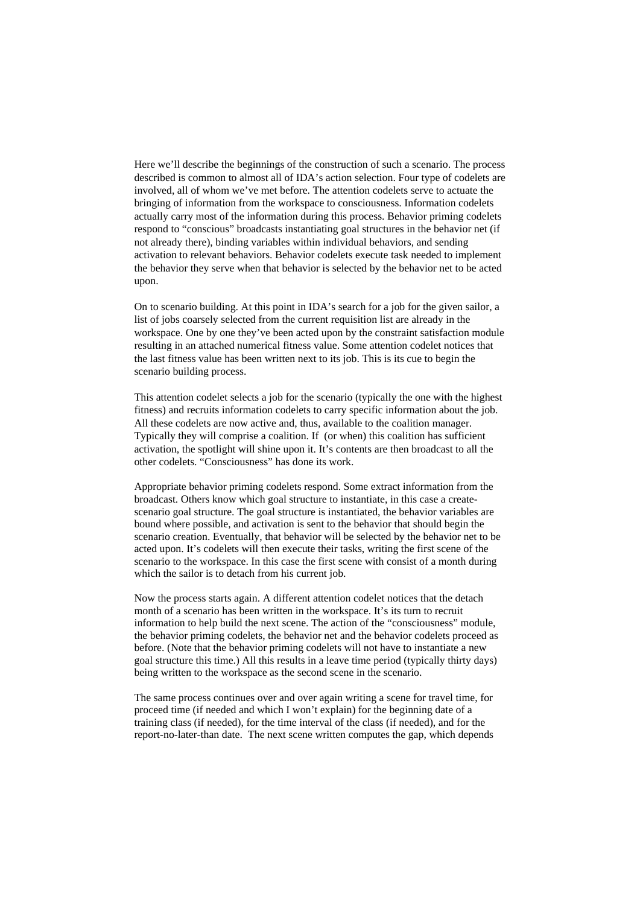Here we'll describe the beginnings of the construction of such a scenario. The process described is common to almost all of IDA's action selection. Four type of codelets are involved, all of whom we've met before. The attention codelets serve to actuate the bringing of information from the workspace to consciousness. Information codelets actually carry most of the information during this process. Behavior priming codelets respond to "conscious" broadcasts instantiating goal structures in the behavior net (if not already there), binding variables within individual behaviors, and sending activation to relevant behaviors. Behavior codelets execute task needed to implement the behavior they serve when that behavior is selected by the behavior net to be acted upon.

On to scenario building. At this point in IDA's search for a job for the given sailor, a list of jobs coarsely selected from the current requisition list are already in the workspace. One by one they've been acted upon by the constraint satisfaction module resulting in an attached numerical fitness value. Some attention codelet notices that the last fitness value has been written next to its job. This is its cue to begin the scenario building process.

This attention codelet selects a job for the scenario (typically the one with the highest fitness) and recruits information codelets to carry specific information about the job. All these codelets are now active and, thus, available to the coalition manager. Typically they will comprise a coalition. If (or when) this coalition has sufficient activation, the spotlight will shine upon it. It's contents are then broadcast to all the other codelets. "Consciousness" has done its work.

Appropriate behavior priming codelets respond. Some extract information from the broadcast. Others know which goal structure to instantiate, in this case a createscenario goal structure. The goal structure is instantiated, the behavior variables are bound where possible, and activation is sent to the behavior that should begin the scenario creation. Eventually, that behavior will be selected by the behavior net to be acted upon. It's codelets will then execute their tasks, writing the first scene of the scenario to the workspace. In this case the first scene with consist of a month during which the sailor is to detach from his current job.

Now the process starts again. A different attention codelet notices that the detach month of a scenario has been written in the workspace. It's its turn to recruit information to help build the next scene. The action of the "consciousness" module, the behavior priming codelets, the behavior net and the behavior codelets proceed as before. (Note that the behavior priming codelets will not have to instantiate a new goal structure this time.) All this results in a leave time period (typically thirty days) being written to the workspace as the second scene in the scenario.

The same process continues over and over again writing a scene for travel time, for proceed time (if needed and which I won't explain) for the beginning date of a training class (if needed), for the time interval of the class (if needed), and for the report-no-later-than date. The next scene written computes the gap, which depends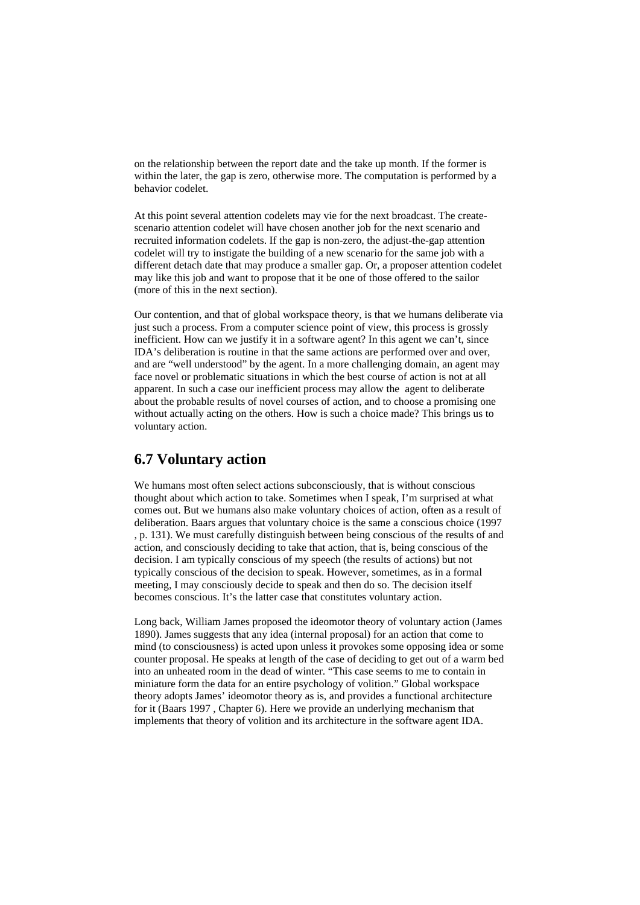on the relationship between the report date and the take up month. If the former is within the later, the gap is zero, otherwise more. The computation is performed by a behavior codelet.

At this point several attention codelets may vie for the next broadcast. The createscenario attention codelet will have chosen another job for the next scenario and recruited information codelets. If the gap is non-zero, the adjust-the-gap attention codelet will try to instigate the building of a new scenario for the same job with a different detach date that may produce a smaller gap. Or, a proposer attention codelet may like this job and want to propose that it be one of those offered to the sailor (more of this in the next section).

Our contention, and that of global workspace theory, is that we humans deliberate via just such a process. From a computer science point of view, this process is grossly inefficient. How can we justify it in a software agent? In this agent we can't, since IDA's deliberation is routine in that the same actions are performed over and over, and are "well understood" by the agent. In a more challenging domain, an agent may face novel or problematic situations in which the best course of action is not at all apparent. In such a case our inefficient process may allow the agent to deliberate about the probable results of novel courses of action, and to choose a promising one without actually acting on the others. How is such a choice made? This brings us to voluntary action.

### **6.7 Voluntary action**

We humans most often select actions subconsciously, that is without conscious thought about which action to take. Sometimes when I speak, I'm surprised at what comes out. But we humans also make voluntary choices of action, often as a result of deliberation. Baars argues that voluntary choice is the same a conscious choice (1997 , p. 131). We must carefully distinguish between being conscious of the results of and action, and consciously deciding to take that action, that is, being conscious of the decision. I am typically conscious of my speech (the results of actions) but not typically conscious of the decision to speak. However, sometimes, as in a formal meeting, I may consciously decide to speak and then do so. The decision itself becomes conscious. It's the latter case that constitutes voluntary action.

Long back, William James proposed the ideomotor theory of voluntary action (James 1890). James suggests that any idea (internal proposal) for an action that come to mind (to consciousness) is acted upon unless it provokes some opposing idea or some counter proposal. He speaks at length of the case of deciding to get out of a warm bed into an unheated room in the dead of winter. "This case seems to me to contain in miniature form the data for an entire psychology of volition." Global workspace theory adopts James' ideomotor theory as is, and provides a functional architecture for it (Baars 1997 , Chapter 6). Here we provide an underlying mechanism that implements that theory of volition and its architecture in the software agent IDA.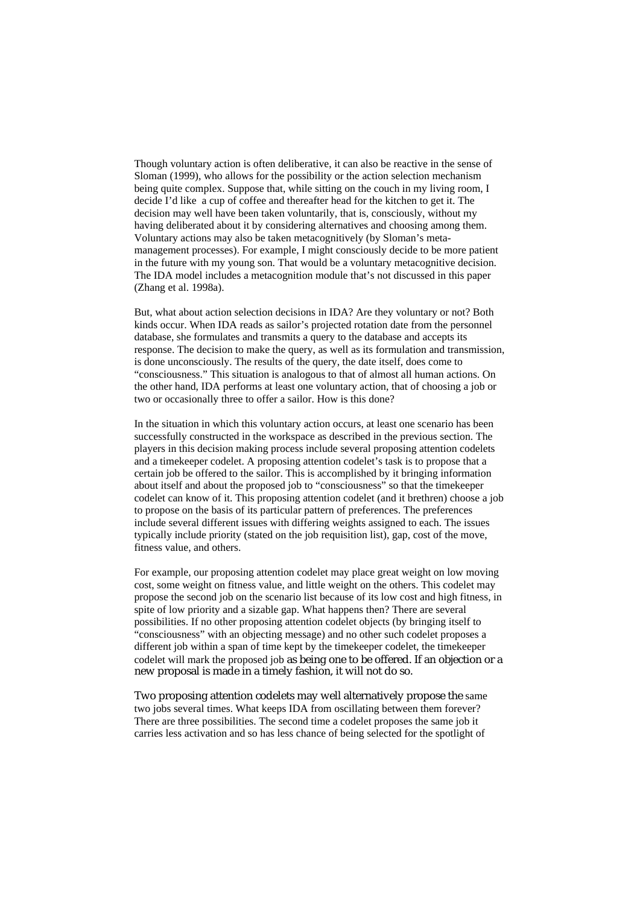Though voluntary action is often deliberative, it can also be reactive in the sense of Sloman (1999), who allows for the possibility or the action selection mechanism being quite complex. Suppose that, while sitting on the couch in my living room, I decide I'd like a cup of coffee and thereafter head for the kitchen to get it. The decision may well have been taken voluntarily, that is, consciously, without my having deliberated about it by considering alternatives and choosing among them. Voluntary actions may also be taken metacognitively (by Sloman's metamanagement processes). For example, I might consciously decide to be more patient in the future with my young son. That would be a voluntary metacognitive decision. The IDA model includes a metacognition module that's not discussed in this paper (Zhang et al. 1998a).

But, what about action selection decisions in IDA? Are they voluntary or not? Both kinds occur. When IDA reads as sailor's projected rotation date from the personnel database, she formulates and transmits a query to the database and accepts its response. The decision to make the query, as well as its formulation and transmission, is done unconsciously. The results of the query, the date itself, does come to "consciousness." This situation is analogous to that of almost all human actions. On the other hand, IDA performs at least one voluntary action, that of choosing a job or two or occasionally three to offer a sailor. How is this done?

In the situation in which this voluntary action occurs, at least one scenario has been successfully constructed in the workspace as described in the previous section. The players in this decision making process include several proposing attention codelets and a timekeeper codelet. A proposing attention codelet's task is to propose that a certain job be offered to the sailor. This is accomplished by it bringing information about itself and about the proposed job to "consciousness" so that the timekeeper codelet can know of it. This proposing attention codelet (and it brethren) choose a job to propose on the basis of its particular pattern of preferences. The preferences include several different issues with differing weights assigned to each. The issues typically include priority (stated on the job requisition list), gap, cost of the move, fitness value, and others.

For example, our proposing attention codelet may place great weight on low moving cost, some weight on fitness value, and little weight on the others. This codelet may propose the second job on the scenario list because of its low cost and high fitness, in spite of low priority and a sizable gap. What happens then? There are several possibilities. If no other proposing attention codelet objects (by bringing itself to "consciousness" with an objecting message) and no other such codelet proposes a different job within a span of time kept by the timekeeper codelet, the timekeeper codelet will mark the proposed job as being one to be offered. If an objection or a new proposal is made in a timely fashion, it will not do so.

Two proposing attention codelets may well alternatively propose the same two jobs several times. What keeps IDA from oscillating between them forever? There are three possibilities. The second time a codelet proposes the same job it carries less activation and so has less chance of being selected for the spotlight of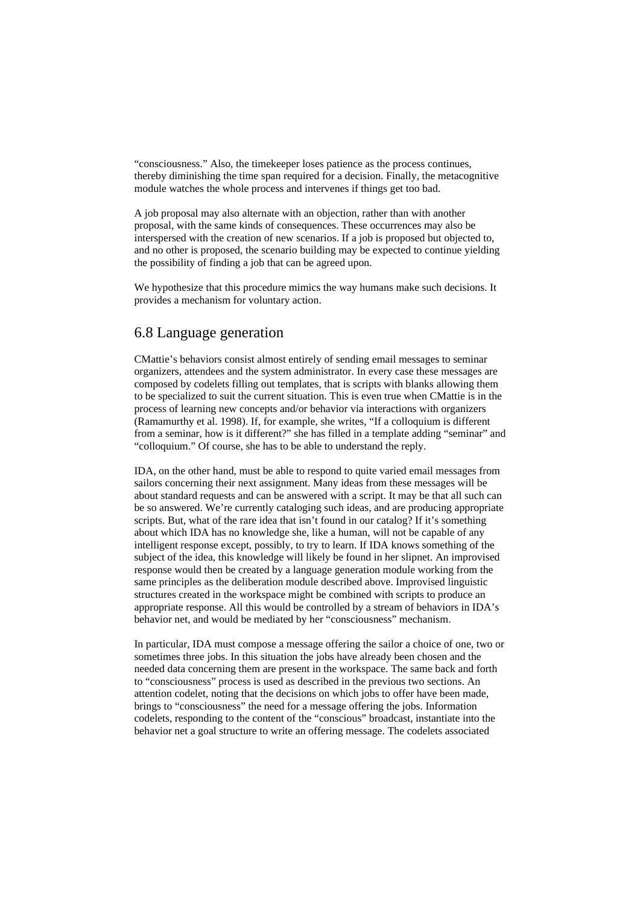"consciousness." Also, the timekeeper loses patience as the process continues, thereby diminishing the time span required for a decision. Finally, the metacognitive module watches the whole process and intervenes if things get too bad.

A job proposal may also alternate with an objection, rather than with another proposal, with the same kinds of consequences. These occurrences may also be interspersed with the creation of new scenarios. If a job is proposed but objected to, and no other is proposed, the scenario building may be expected to continue yielding the possibility of finding a job that can be agreed upon.

We hypothesize that this procedure mimics the way humans make such decisions. It provides a mechanism for voluntary action.

### 6.8 Language generation

CMattie's behaviors consist almost entirely of sending email messages to seminar organizers, attendees and the system administrator. In every case these messages are composed by codelets filling out templates, that is scripts with blanks allowing them to be specialized to suit the current situation. This is even true when CMattie is in the process of learning new concepts and/or behavior via interactions with organizers (Ramamurthy et al. 1998). If, for example, she writes, "If a colloquium is different from a seminar, how is it different?" she has filled in a template adding "seminar" and "colloquium." Of course, she has to be able to understand the reply.

IDA, on the other hand, must be able to respond to quite varied email messages from sailors concerning their next assignment. Many ideas from these messages will be about standard requests and can be answered with a script. It may be that all such can be so answered. We're currently cataloging such ideas, and are producing appropriate scripts. But, what of the rare idea that isn't found in our catalog? If it's something about which IDA has no knowledge she, like a human, will not be capable of any intelligent response except, possibly, to try to learn. If IDA knows something of the subject of the idea, this knowledge will likely be found in her slipnet. An improvised response would then be created by a language generation module working from the same principles as the deliberation module described above. Improvised linguistic structures created in the workspace might be combined with scripts to produce an appropriate response. All this would be controlled by a stream of behaviors in IDA's behavior net, and would be mediated by her "consciousness" mechanism.

In particular, IDA must compose a message offering the sailor a choice of one, two or sometimes three jobs. In this situation the jobs have already been chosen and the needed data concerning them are present in the workspace. The same back and forth to "consciousness" process is used as described in the previous two sections. An attention codelet, noting that the decisions on which jobs to offer have been made, brings to "consciousness" the need for a message offering the jobs. Information codelets, responding to the content of the "conscious" broadcast, instantiate into the behavior net a goal structure to write an offering message. The codelets associated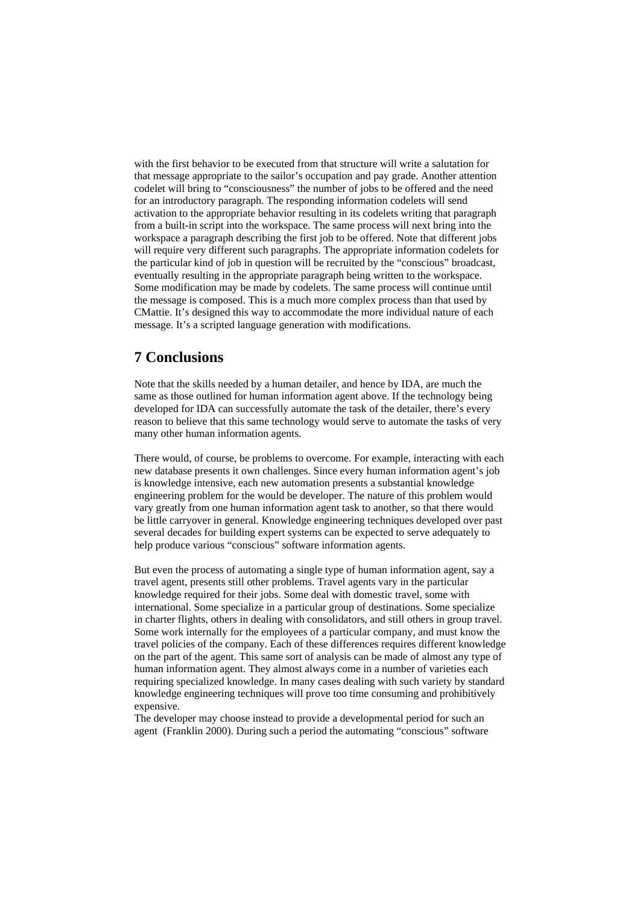with the first behavior to be executed from that structure will write a salutation for that message appropriate to the sailor's occupation and pay grade. Another attention codelet will bring to "consciousness" the number of jobs to be offered and the need for an introductory paragraph. The responding information codelets will send activation to the appropriate behavior resulting in its codelets writing that paragraph from a built-in script into the workspace. The same process will next bring into the workspace a paragraph describing the first job to be offered. Note that different jobs will require very different such paragraphs. The appropriate information codelets for the particular kind of job in question will be recruited by the "conscious" broadcast, eventually resulting in the appropriate paragraph being written to the workspace. Some modification may be made by codelets. The same process will continue until the message is composed. This is a much more complex process than that used by CMattie. It's designed this way to accommodate the more individual nature of each message. It's a scripted language generation with modifications.

### **7 Conclusions**

Note that the skills needed by a human detailer, and hence by IDA, are much the same as those outlined for human information agent above. If the technology being developed for IDA can successfully automate the task of the detailer, there's every reason to believe that this same technology would serve to automate the tasks of very many other human information agents.

There would, of course, be problems to overcome. For example, interacting with each new database presents it own challenges. Since every human information agent's job is knowledge intensive, each new automation presents a substantial knowledge engineering problem for the would be developer. The nature of this problem would vary greatly from one human information agent task to another, so that there would be little carryover in general. Knowledge engineering techniques developed over past several decades for building expert systems can be expected to serve adequately to help produce various "conscious" software information agents.

But even the process of automating a single type of human information agent, say a travel agent, presents still other problems. Travel agents vary in the particular knowledge required for their jobs. Some deal with domestic travel, some with international. Some specialize in a particular group of destinations. Some specialize in charter flights, others in dealing with consolidators, and still others in group travel. Some work internally for the employees of a particular company, and must know the travel policies of the company. Each of these differences requires different knowledge on the part of the agent. This same sort of analysis can be made of almost any type of human information agent. They almost always come in a number of varieties each requiring specialized knowledge. In many cases dealing with such variety by standard knowledge engineering techniques will prove too time consuming and prohibitively expensive.

The developer may choose instead to provide a developmental period for such an agent (Franklin 2000). During such a period the automating "conscious" software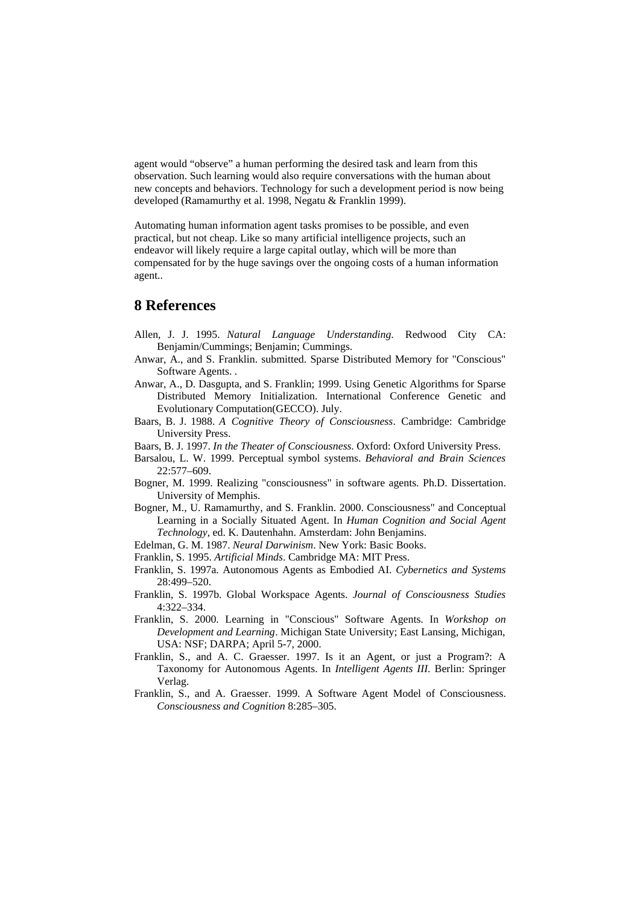agent would "observe" a human performing the desired task and learn from this observation. Such learning would also require conversations with the human about new concepts and behaviors. Technology for such a development period is now being developed (Ramamurthy et al. 1998, Negatu & Franklin 1999).

Automating human information agent tasks promises to be possible, and even practical, but not cheap. Like so many artificial intelligence projects, such an endeavor will likely require a large capital outlay, which will be more than compensated for by the huge savings over the ongoing costs of a human information agent..

#### **8 References**

- Allen, J. J. 1995. *Natural Language Understanding*. Redwood City CA: Benjamin/Cummings; Benjamin; Cummings.
- Anwar, A., and S. Franklin. submitted. Sparse Distributed Memory for "Conscious" Software Agents. .
- Anwar, A., D. Dasgupta, and S. Franklin; 1999. Using Genetic Algorithms for Sparse Distributed Memory Initialization. International Conference Genetic and Evolutionary Computation(GECCO). July.
- Baars, B. J. 1988. *A Cognitive Theory of Consciousness*. Cambridge: Cambridge University Press.
- Baars, B. J. 1997. *In the Theater of Consciousness*. Oxford: Oxford University Press.
- Barsalou, L. W. 1999. Perceptual symbol systems. *Behavioral and Brain Sciences* 22:577–609.
- Bogner, M. 1999. Realizing "consciousness" in software agents. Ph.D. Dissertation. University of Memphis.
- Bogner, M., U. Ramamurthy, and S. Franklin. 2000. Consciousness" and Conceptual Learning in a Socially Situated Agent. In *Human Cognition and Social Agent Technology*, ed. K. Dautenhahn. Amsterdam: John Benjamins.
- Edelman, G. M. 1987. *Neural Darwinism*. New York: Basic Books.
- Franklin, S. 1995. *Artificial Minds*. Cambridge MA: MIT Press.
- Franklin, S. 1997a. Autonomous Agents as Embodied AI. *Cybernetics and Systems* 28:499–520.
- Franklin, S. 1997b. Global Workspace Agents. *Journal of Consciousness Studies* 4:322–334.
- Franklin, S. 2000. Learning in "Conscious" Software Agents. In *Workshop on Development and Learning*. Michigan State University; East Lansing, Michigan, USA: NSF; DARPA; April 5-7, 2000.
- Franklin, S., and A. C. Graesser. 1997. Is it an Agent, or just a Program?: A Taxonomy for Autonomous Agents. In *Intelligent Agents III*. Berlin: Springer Verlag.
- Franklin, S., and A. Graesser. 1999. A Software Agent Model of Consciousness. *Consciousness and Cognition* 8:285–305.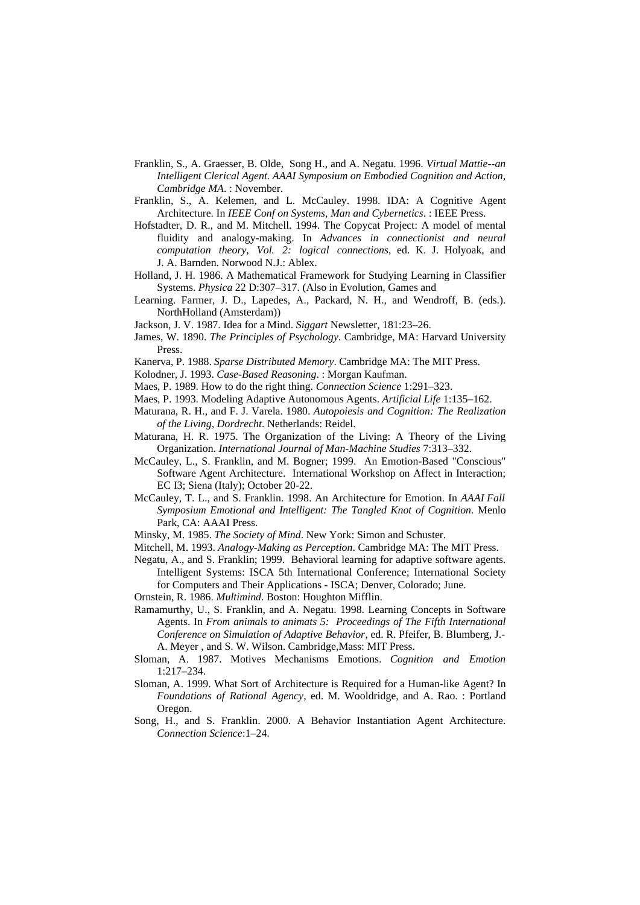- Franklin, S., A. Graesser, B. Olde, Song H., and A. Negatu. 1996. *Virtual Mattie--an Intelligent Clerical Agent. AAAI Symposium on Embodied Cognition and Action, Cambridge MA*. : November.
- Franklin, S., A. Kelemen, and L. McCauley. 1998. IDA: A Cognitive Agent Architecture. In *IEEE Conf on Systems, Man and Cybernetics*. : IEEE Press.
- Hofstadter, D. R., and M. Mitchell. 1994. The Copycat Project: A model of mental fluidity and analogy-making. In *Advances in connectionist and neural computation theory, Vol. 2: logical connections*, ed. K. J. Holyoak, and J. A. Barnden. Norwood N.J.: Ablex.
- Holland, J. H. 1986. A Mathematical Framework for Studying Learning in Classifier Systems. *Physica* 22 D:307–317. (Also in Evolution, Games and
- Learning. Farmer, J. D., Lapedes, A., Packard, N. H., and Wendroff, B. (eds.). NorthHolland (Amsterdam))
- Jackson, J. V. 1987. Idea for a Mind. *Siggart* Newsletter, 181:23–26.
- James, W. 1890. *The Principles of Psychology*. Cambridge, MA: Harvard University Press.
- Kanerva, P. 1988. *Sparse Distributed Memory*. Cambridge MA: The MIT Press.
- Kolodner, J. 1993. *Case-Based Reasoning*. : Morgan Kaufman.
- Maes, P. 1989. How to do the right thing. *Connection Science* 1:291–323.
- Maes, P. 1993. Modeling Adaptive Autonomous Agents. *Artificial Life* 1:135–162.
- Maturana, R. H., and F. J. Varela. 1980. *Autopoiesis and Cognition: The Realization of the Living, Dordrecht*. Netherlands: Reidel.
- Maturana, H. R. 1975. The Organization of the Living: A Theory of the Living Organization. *International Journal of Man-Machine Studies* 7:313–332.
- McCauley, L., S. Franklin, and M. Bogner; 1999. An Emotion-Based "Conscious" Software Agent Architecture. International Workshop on Affect in Interaction; EC I3; Siena (Italy); October 20-22.
- McCauley, T. L., and S. Franklin. 1998. An Architecture for Emotion. In *AAAI Fall Symposium Emotional and Intelligent: The Tangled Knot of Cognition*. Menlo Park, CA: AAAI Press.
- Minsky, M. 1985. *The Society of Mind*. New York: Simon and Schuster.
- Mitchell, M. 1993. *Analogy-Making as Perception*. Cambridge MA: The MIT Press.
- Negatu, A., and S. Franklin; 1999. Behavioral learning for adaptive software agents. Intelligent Systems: ISCA 5th International Conference; International Society for Computers and Their Applications - ISCA; Denver, Colorado; June.
- Ornstein, R. 1986. *Multimind*. Boston: Houghton Mifflin.
- Ramamurthy, U., S. Franklin, and A. Negatu. 1998. Learning Concepts in Software Agents. In *From animals to animats 5: Proceedings of The Fifth International Conference on Simulation of Adaptive Behavior*, ed. R. Pfeifer, B. Blumberg, J.- A. Meyer , and S. W. Wilson. Cambridge,Mass: MIT Press.
- Sloman, A. 1987. Motives Mechanisms Emotions. *Cognition and Emotion* 1:217–234.
- Sloman, A. 1999. What Sort of Architecture is Required for a Human-like Agent? In *Foundations of Rational Agency*, ed. M. Wooldridge, and A. Rao. : Portland Oregon.
- Song, H., and S. Franklin. 2000. A Behavior Instantiation Agent Architecture. *Connection Science*:1–24.